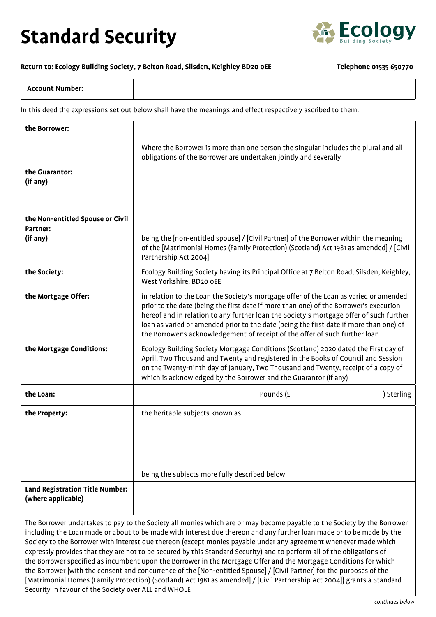## **Standard Security**



## **Return to: Ecology Building Society, 7 Belton Road, Silsden, Keighley BD20 0EE Telephone 01535 650770**

In this deed the expressions set out below shall have the meanings and effect respectively ascribed to them:

| the Borrower:                                                                                                                                                                                                                                                                                                                                                                                                                                                                                                                                                                                                      |                                                                                                                                                                                                                                                                                                                                                                                                                                                    |            |
|--------------------------------------------------------------------------------------------------------------------------------------------------------------------------------------------------------------------------------------------------------------------------------------------------------------------------------------------------------------------------------------------------------------------------------------------------------------------------------------------------------------------------------------------------------------------------------------------------------------------|----------------------------------------------------------------------------------------------------------------------------------------------------------------------------------------------------------------------------------------------------------------------------------------------------------------------------------------------------------------------------------------------------------------------------------------------------|------------|
|                                                                                                                                                                                                                                                                                                                                                                                                                                                                                                                                                                                                                    | Where the Borrower is more than one person the singular includes the plural and all<br>obligations of the Borrower are undertaken jointly and severally                                                                                                                                                                                                                                                                                            |            |
| the Guarantor:<br>(if any)                                                                                                                                                                                                                                                                                                                                                                                                                                                                                                                                                                                         |                                                                                                                                                                                                                                                                                                                                                                                                                                                    |            |
| the Non-entitled Spouse or Civil<br>Partner:                                                                                                                                                                                                                                                                                                                                                                                                                                                                                                                                                                       |                                                                                                                                                                                                                                                                                                                                                                                                                                                    |            |
| (if any)                                                                                                                                                                                                                                                                                                                                                                                                                                                                                                                                                                                                           | being the [non-entitled spouse] / [Civil Partner] of the Borrower within the meaning<br>of the [Matrimonial Homes (Family Protection) (Scotland) Act 1981 as amended] / [Civil<br>Partnership Act 2004]                                                                                                                                                                                                                                            |            |
| the Society:                                                                                                                                                                                                                                                                                                                                                                                                                                                                                                                                                                                                       | Ecology Building Society having its Principal Office at 7 Belton Road, Silsden, Keighley,<br>West Yorkshire, BD20 OEE                                                                                                                                                                                                                                                                                                                              |            |
| the Mortgage Offer:                                                                                                                                                                                                                                                                                                                                                                                                                                                                                                                                                                                                | in relation to the Loan the Society's mortgage offer of the Loan as varied or amended<br>prior to the date (being the first date if more than one) of the Borrower's execution<br>hereof and in relation to any further loan the Society's mortgage offer of such further<br>loan as varied or amended prior to the date (being the first date if more than one) of<br>the Borrower's acknowledgement of receipt of the offer of such further loan |            |
| the Mortgage Conditions:                                                                                                                                                                                                                                                                                                                                                                                                                                                                                                                                                                                           | Ecology Building Society Mortgage Conditions (Scotland) 2020 dated the First day of<br>April, Two Thousand and Twenty and registered in the Books of Council and Session<br>on the Twenty-ninth day of January, Two Thousand and Twenty, receipt of a copy of<br>which is acknowledged by the Borrower and the Guarantor (if any)                                                                                                                  |            |
| the Loan:                                                                                                                                                                                                                                                                                                                                                                                                                                                                                                                                                                                                          | Pounds (£                                                                                                                                                                                                                                                                                                                                                                                                                                          | ) Sterling |
| the Property:                                                                                                                                                                                                                                                                                                                                                                                                                                                                                                                                                                                                      | the heritable subjects known as                                                                                                                                                                                                                                                                                                                                                                                                                    |            |
|                                                                                                                                                                                                                                                                                                                                                                                                                                                                                                                                                                                                                    | being the subjects more fully described below                                                                                                                                                                                                                                                                                                                                                                                                      |            |
| <b>Land Registration Title Number:</b><br>(where applicable)                                                                                                                                                                                                                                                                                                                                                                                                                                                                                                                                                       |                                                                                                                                                                                                                                                                                                                                                                                                                                                    |            |
| The Borrower undertakes to pay to the Society all monies which are or may become payable to the Society by the Borrower<br>including the Loan made or about to be made with interest due thereon and any further loan made or to be made by the<br>Society to the Borrower with interest due thereon (except monies payable under any agreement whenever made which<br>expressly provides that they are not to be secured by this Standard Security) and to perform all of the obligations of<br>the Borrower specified as incumbent upon the Borrower in the Mortgage Offer and the Mortgage Conditions for which |                                                                                                                                                                                                                                                                                                                                                                                                                                                    |            |

the Borrower {with the consent and concurrence of the [Non-entitled Spouse] / [Civil Partner] for the purposes of the [Matrimonial Homes (Family Protection) (Scotland) Act 1981 as amended] / [Civil Partnership Act 2004]} grants a Standard Security in favour of the Society over ALL and WHOLE